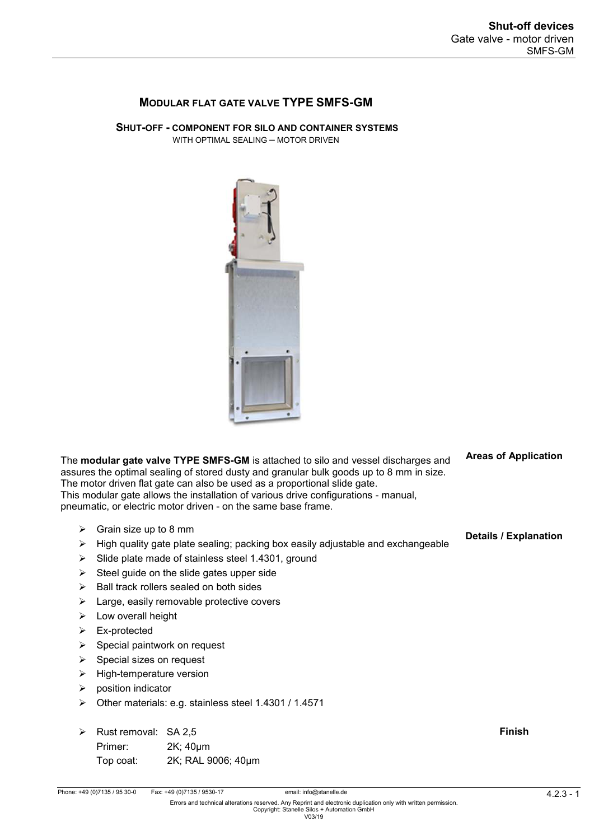**Areas of Application** 

## **MODULAR FLAT GATE VALVE TYPE SMFS-GM**

**SHUT-OFF - COMPONENT FOR SILO AND CONTAINER SYSTEMS** WITH OPTIMAL SEALING – MOTOR DRIVEN



|   | The <b>modular gate valve TYPE SMFS-GM</b> is attached to silo and vessel discharges and<br>assures the optimal sealing of stored dusty and granular bulk goods up to 8 mm in size.<br>The motor driven flat gate can also be used as a proportional slide gate.<br>This modular gate allows the installation of various drive configurations - manual,<br>pneumatic, or electric motor driven - on the same base frame. | <b>Algas Of Application</b>  |
|---|--------------------------------------------------------------------------------------------------------------------------------------------------------------------------------------------------------------------------------------------------------------------------------------------------------------------------------------------------------------------------------------------------------------------------|------------------------------|
| ➤ | Grain size up to 8 mm                                                                                                                                                                                                                                                                                                                                                                                                    | <b>Details / Explanation</b> |
| ➤ | High quality gate plate sealing; packing box easily adjustable and exchangeable                                                                                                                                                                                                                                                                                                                                          |                              |
| ➤ | Slide plate made of stainless steel 1.4301, ground                                                                                                                                                                                                                                                                                                                                                                       |                              |
| ➤ | Steel guide on the slide gates upper side                                                                                                                                                                                                                                                                                                                                                                                |                              |
| ➤ | Ball track rollers sealed on both sides                                                                                                                                                                                                                                                                                                                                                                                  |                              |
| ➤ | Large, easily removable protective covers                                                                                                                                                                                                                                                                                                                                                                                |                              |
| ➤ | Low overall height                                                                                                                                                                                                                                                                                                                                                                                                       |                              |
| ➤ | Ex-protected                                                                                                                                                                                                                                                                                                                                                                                                             |                              |
| ➤ | Special paintwork on request                                                                                                                                                                                                                                                                                                                                                                                             |                              |
| ➤ | Special sizes on request                                                                                                                                                                                                                                                                                                                                                                                                 |                              |
| ➤ | High-temperature version                                                                                                                                                                                                                                                                                                                                                                                                 |                              |
| ➤ | position indicator                                                                                                                                                                                                                                                                                                                                                                                                       |                              |
| ➤ | Other materials: e.g. stainless steel 1.4301 / 1.4571                                                                                                                                                                                                                                                                                                                                                                    |                              |
| ➤ | Rust removal: SA 2,5                                                                                                                                                                                                                                                                                                                                                                                                     | <b>Finish</b>                |

| $\triangleright$ Rust removal: SA 2.5 |                    |
|---------------------------------------|--------------------|
| Primer:                               | 2K; 40um           |
| Top coat:                             | 2K; RAL 9006; 40µm |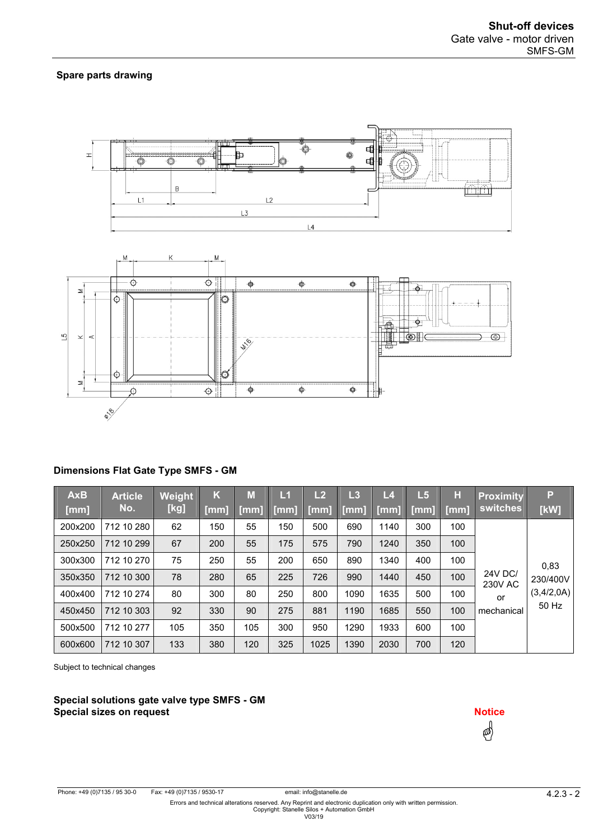#### **Spare parts drawing**



### **Dimensions Flat Gate Type SMFS - GM**

| <b>AxB</b><br>[mm] | <b>Article</b><br>No. | Weight<br>[kg] | K<br>$\lceil$ [mm] | M<br>[mm] | L1<br>[mm] | L2<br>[mm] | L3<br>[mm] | L4<br>[mm] | L <sub>5</sub><br>[mm] | н<br>[mm] | <b>Proximity</b><br><b>switches</b> | Р<br>[kW]  |
|--------------------|-----------------------|----------------|--------------------|-----------|------------|------------|------------|------------|------------------------|-----------|-------------------------------------|------------|
| 200x200            | 712 10 280            | 62             | 150                | 55        | 150        | 500        | 690        | 1140       | 300                    | 100       |                                     |            |
| 250x250            | 712 10 299            | 67             | 200                | 55        | 175        | 575        | 790        | 1240       | 350                    | 100       |                                     |            |
| 300x300            | 712 10 270            | 75             | 250                | 55        | 200        | 650        | 890        | 1340       | 400                    | 100       |                                     | 0,83       |
| 350x350            | 712 10 300            | 78             | 280                | 65        | 225        | 726        | 990        | 1440       | 450                    | 100       | <b>24V DC/</b><br><b>230V AC</b>    | 230/400V   |
| 400x400            | 712 10 274            | 80             | 300                | 80        | 250        | 800        | 1090       | 1635       | 500                    | 100       | or                                  | (3,4/2,0A) |
| 450x450            | 712 10 303            | 92             | 330                | 90        | 275        | 881        | 1190       | 1685       | 550                    | 100       | mechanical                          | 50 Hz      |
| 500x500            | 712 10 277            | 105            | 350                | 105       | 300        | 950        | 1290       | 1933       | 600                    | 100       |                                     |            |
| 600x600            | 712 10 307            | 133            | 380                | 120       | 325        | 1025       | 1390       | 2030       | 700                    | 120       |                                     |            |

Subject to technical changes

**Special solutions gate valve type SMFS - GM Special sizes on request** and the state of the state  $\overline{a}$  and  $\overline{b}$  and  $\overline{b}$  and  $\overline{b}$  and  $\overline{b}$  and  $\overline{b}$  and  $\overline{b}$  and  $\overline{b}$  and  $\overline{b}$  and  $\overline{b}$  and  $\overline{b}$  and  $\overline{b}$  and  $\overline{b}$  and

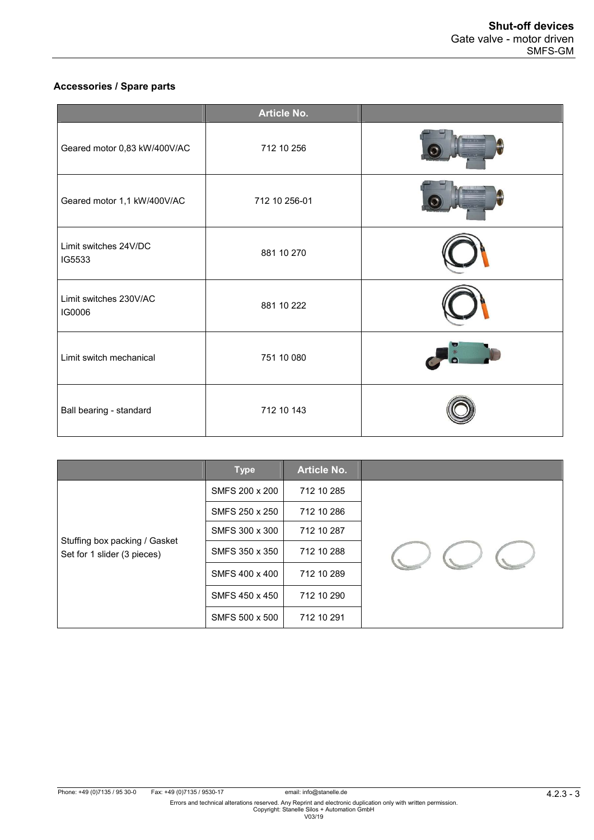# **Accessories / Spare parts**

|                                  | <b>Article No.</b> |  |
|----------------------------------|--------------------|--|
| Geared motor 0,83 kW/400V/AC     | 712 10 256         |  |
| Geared motor 1,1 kW/400V/AC      | 712 10 256-01      |  |
| Limit switches 24V/DC<br>IG5533  | 881 10 270         |  |
| Limit switches 230V/AC<br>IG0006 | 881 10 222         |  |
| Limit switch mechanical          | 751 10 080         |  |
| Ball bearing - standard          | 712 10 143         |  |

|                               | <b>Type</b>    | <b>Article No.</b> |  |
|-------------------------------|----------------|--------------------|--|
|                               | SMFS 200 x 200 | 712 10 285         |  |
|                               | SMFS 250 x 250 | 712 10 286         |  |
| Stuffing box packing / Gasket | SMFS 300 x 300 | 712 10 287         |  |
| Set for 1 slider (3 pieces)   | SMFS 350 x 350 | 712 10 288         |  |
|                               | SMFS 400 x 400 | 712 10 289         |  |
|                               | SMFS 450 x 450 | 712 10 290         |  |
|                               | SMFS 500 x 500 | 712 10 291         |  |